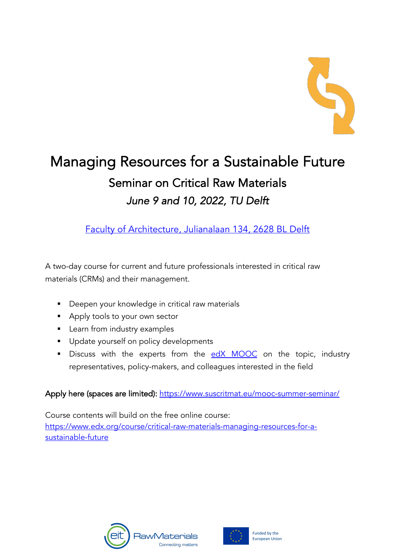

# Managing Resources for a Sustainable Future Seminar on Critical Raw Materials *June 9 and 10, 2022, TU Delft*

Faculty of Architecture, Julianalaan 134, 2628 BL Delft

A two-day course for current and future professionals interested in critical raw materials (CRMs) and their management.

- Deepen your knowledge in critical raw materials
- Apply tools to your own sector
- **■** Learn from industry examples
- **•** Update yourself on policy developments
- Discuss with the experts from the edX MOOC on the topic, industry representatives, policy-makers, and colleagues interested in the field

# Apply here (spaces are limited): https://www.suscritmat.eu/mooc-summer-seminar/

Course contents will build on the free online course: https://www.edx.org/course/critical-raw-materials-managing-resources-for-asustainable-future



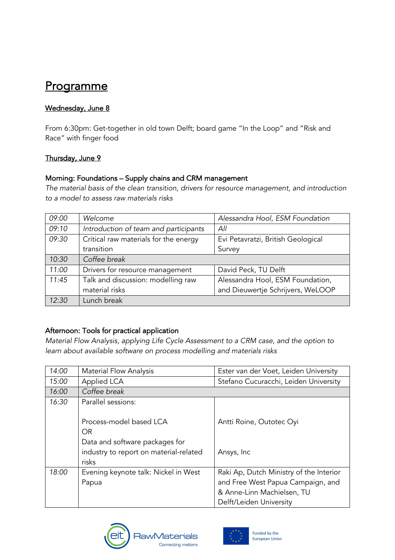# **Programme**

### Wednesday, June 8

From 6:30pm: Get-together in old town Delft; board game "In the Loop" and "Risk and Race" with finger food

#### Thursday, June 9

#### Morning: Foundations – Supply chains and CRM management

*The material basis of the clean transition, drivers for resource management, and introduction to a model to assess raw materials risks*

| 09:00 | Welcome                               | Alessandra Hool, ESM Foundation    |
|-------|---------------------------------------|------------------------------------|
| 09:10 | Introduction of team and participants | All                                |
| 09:30 | Critical raw materials for the energy | Evi Petavratzi, British Geological |
|       | transition                            | Survey                             |
| 10:30 | Coffee break                          |                                    |
| 11:00 | Drivers for resource management       | David Peck, TU Delft               |
| 11:45 | Talk and discussion: modelling raw    | Alessandra Hool, ESM Foundation,   |
|       | material risks                        | and Dieuwertje Schrijvers, WeLOOP  |
| 12:30 | Lunch break                           |                                    |

## Afternoon: Tools for practical application

*Material Flow Analysis, applying Life Cycle Assessment to a CRM case, and the option to learn about available software on process modelling and materials risks*

| 14:00 | <b>Material Flow Analysis</b>          | Ester van der Voet, Leiden University   |
|-------|----------------------------------------|-----------------------------------------|
| 15:00 | Applied LCA                            | Stefano Cucuracchi, Leiden University   |
| 16:00 | Coffee break                           |                                         |
| 16:30 | Parallel sessions:                     |                                         |
|       |                                        |                                         |
|       | Process-model based LCA                | Antti Roine, Outotec Oyi                |
|       | <b>OR</b>                              |                                         |
|       | Data and software packages for         |                                         |
|       | industry to report on material-related | Ansys, Inc                              |
|       | risks                                  |                                         |
| 18:00 | Evening keynote talk: Nickel in West   | Raki Ap, Dutch Ministry of the Interior |
|       | Papua                                  | and Free West Papua Campaign, and       |
|       |                                        | & Anne-Linn Machielsen, TU              |
|       |                                        | Delft/Leiden University                 |